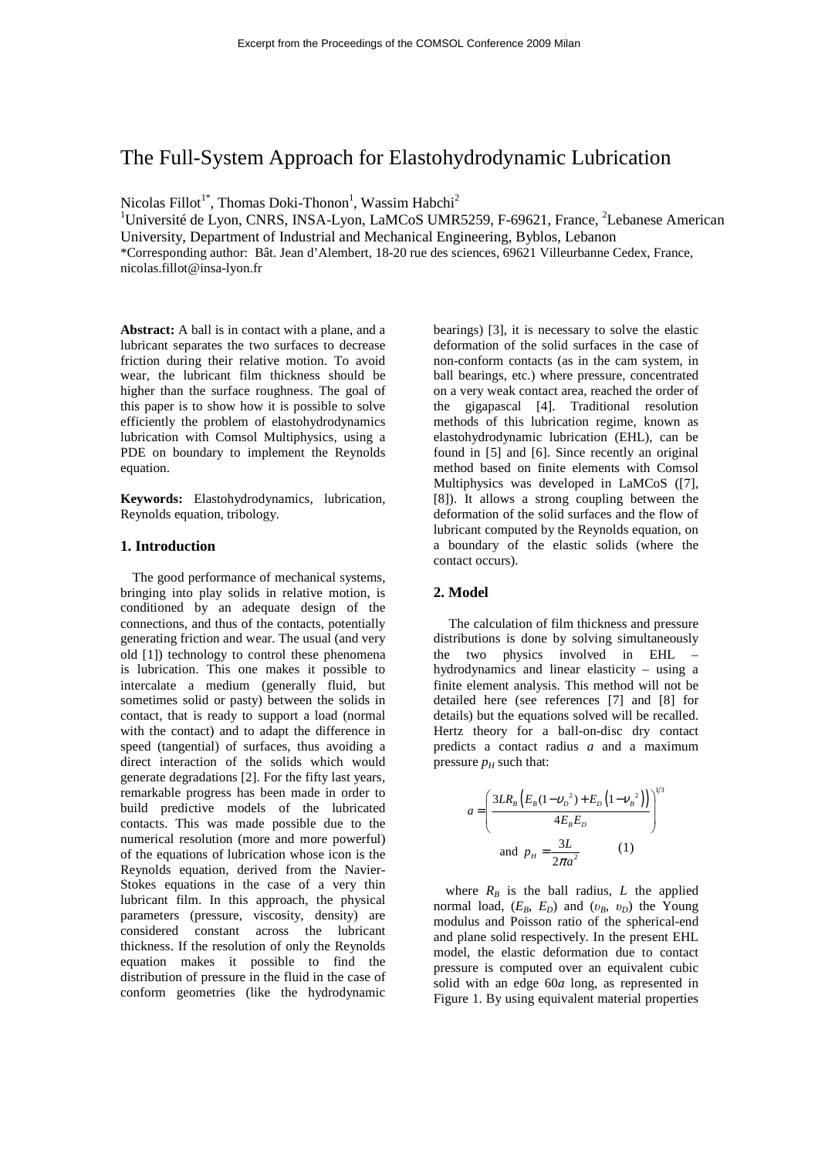# The Full-System Approach for Elastohydrodynamic Lubrication

Nicolas Fillot<sup>1\*</sup>, Thomas Doki-Thonon<sup>1</sup>, Wassim Habchi<sup>2</sup>

 $1$ Université de Lyon, CNRS, INSA-Lyon, LaMCoS UMR5259, F-69621, France,  $2$ Lebanese American University, Department of Industrial and Mechanical Engineering, Byblos, Lebanon \*Corresponding author: Bât. Jean d'Alembert, 18-20 rue des sciences, 69621 Villeurbanne Cedex, France,

nicolas.fillot@insa-lyon.fr

**Abstract:** A ball is in contact with a plane, and a lubricant separates the two surfaces to decrease friction during their relative motion. To avoid wear, the lubricant film thickness should be higher than the surface roughness. The goal of this paper is to show how it is possible to solve efficiently the problem of elastohydrodynamics lubrication with Comsol Multiphysics, using a PDE on boundary to implement the Reynolds equation.

**Keywords:** Elastohydrodynamics, lubrication, Reynolds equation, tribology.

### **1. Introduction**

The good performance of mechanical systems, bringing into play solids in relative motion, is conditioned by an adequate design of the connections, and thus of the contacts, potentially generating friction and wear. The usual (and very old [1]) technology to control these phenomena is lubrication. This one makes it possible to intercalate a medium (generally fluid, but sometimes solid or pasty) between the solids in contact, that is ready to support a load (normal with the contact) and to adapt the difference in speed (tangential) of surfaces, thus avoiding a direct interaction of the solids which would generate degradations [2]. For the fifty last years, remarkable progress has been made in order to build predictive models of the lubricated contacts. This was made possible due to the numerical resolution (more and more powerful) of the equations of lubrication whose icon is the Reynolds equation, derived from the Navier-Stokes equations in the case of a very thin lubricant film. In this approach, the physical parameters (pressure, viscosity, density) are considered constant across the lubricant thickness. If the resolution of only the Reynolds equation makes it possible to find the distribution of pressure in the fluid in the case of conform geometries (like the hydrodynamic

bearings) [3], it is necessary to solve the elastic deformation of the solid surfaces in the case of non-conform contacts (as in the cam system, in ball bearings, etc.) where pressure, concentrated on a very weak contact area, reached the order of the gigapascal [4]. Traditional resolution methods of this lubrication regime, known as elastohydrodynamic lubrication (EHL), can be found in [5] and [6]. Since recently an original method based on finite elements with Comsol Multiphysics was developed in LaMCoS ([7], [8]). It allows a strong coupling between the deformation of the solid surfaces and the flow of lubricant computed by the Reynolds equation, on a boundary of the elastic solids (where the contact occurs).

#### **2. Model**

The calculation of film thickness and pressure distributions is done by solving simultaneously the two physics involved in EHL – hydrodynamics and linear elasticity – using a finite element analysis. This method will not be detailed here (see references [7] and [8] for details) but the equations solved will be recalled. Hertz theory for a ball-on-disc dry contact predicts a contact radius *a* and a maximum pressure  $p<sub>H</sub>$  such that:

$$
a = \left(\frac{3LR_B \left(E_B (1 - v_D^2) + E_D (1 - v_B^2)\right)}{4E_B E_D}\right)^{1/3}
$$
  
and  $p_H = \frac{3L}{2\pi a^2}$  (1)

where  $R_B$  is the ball radius, *L* the applied normal load,  $(E_B, E_D)$  and  $(v_B, v_D)$  the Young modulus and Poisson ratio of the spherical-end and plane solid respectively. In the present EHL model, the elastic deformation due to contact pressure is computed over an equivalent cubic solid with an edge 60*a* long, as represented in Figure 1. By using equivalent material properties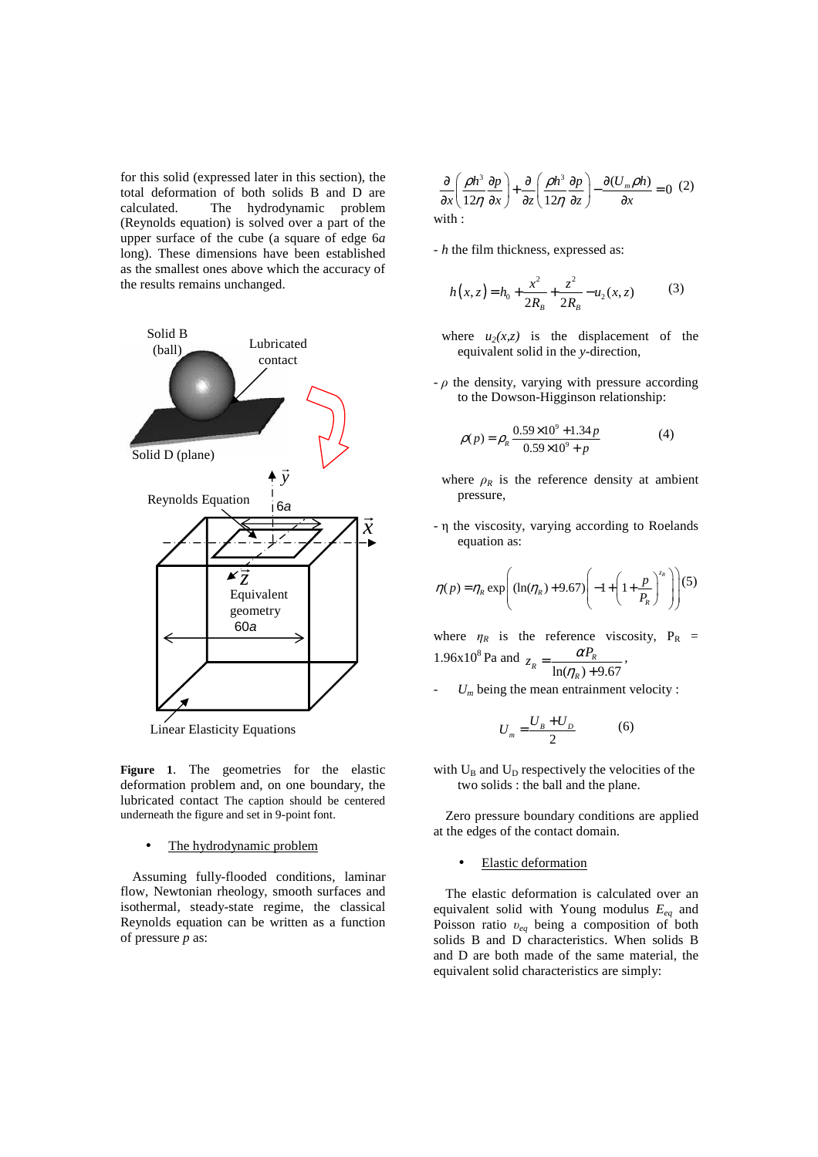for this solid (expressed later in this section), the total deformation of both solids B and D are calculated. The hydrodynamic problem (Reynolds equation) is solved over a part of the upper surface of the cube (a square of edge 6*a*  long). These dimensions have been established as the smallest ones above which the accuracy of the results remains unchanged.



Linear Elasticity Equations

**Figure 1**. The geometries for the elastic deformation problem and, on one boundary, the lubricated contact The caption should be centered underneath the figure and set in 9-point font.

### The hydrodynamic problem

Assuming fully-flooded conditions, laminar flow, Newtonian rheology, smooth surfaces and isothermal, steady-state regime, the classical Reynolds equation can be written as a function of pressure *p* as:

$$
\frac{\partial}{\partial x} \left( \frac{\rho h^3}{12\eta} \frac{\partial p}{\partial x} \right) + \frac{\partial}{\partial z} \left( \frac{\rho h^3}{12\eta} \frac{\partial p}{\partial z} \right) - \frac{\partial (U_m \rho h)}{\partial x} = 0 \tag{2}
$$
\nwith:

- *h* the film thickness, expressed as:

$$
h(x, z) = h_0 + \frac{x^2}{2R_B} + \frac{z^2}{2R_B} - u_2(x, z)
$$
 (3)

- where  $u_2(x,z)$  is the displacement of the equivalent solid in the *y-*direction,
- $-\rho$  the density, varying with pressure according to the Dowson-Higginson relationship:

$$
\rho(p) = \rho_R \frac{0.59 \times 10^9 + 1.34p}{0.59 \times 10^9 + p} \tag{4}
$$

- where  $\rho_R$  is the reference density at ambient pressure,
- η the viscosity, varying according to Roelands equation as:

$$
\eta(p) = \eta_R \exp\left( (\ln(\eta_R) + 9.67) \left( -1 + \left( 1 + \frac{p}{P_R} \right)^{z_R} \right) \right) (5)
$$

where  $\eta_R$  is the reference viscosity,  $P_R$  =  $1.96x10<sup>8</sup>$  Pa and  $ln(\eta_R) + 9.67$  $R = \frac{\mu_{R}}{\ln(\eta_{R}) + \mu_{R}}$  $z_R = \frac{\alpha P_i}{\alpha}$  $=\frac{m_{R}}{\ln(\eta_{R})+}$ ,

 $U_m$  being the mean entrainment velocity :

$$
U_m = \frac{U_B + U_D}{2} \tag{6}
$$

with  $U_B$  and  $U_D$  respectively the velocities of the two solids : the ball and the plane.

Zero pressure boundary conditions are applied at the edges of the contact domain.

• Elastic deformation

The elastic deformation is calculated over an equivalent solid with Young modulus *Eeq* and Poisson ratio υ*eq* being a composition of both solids B and D characteristics. When solids B and D are both made of the same material, the equivalent solid characteristics are simply: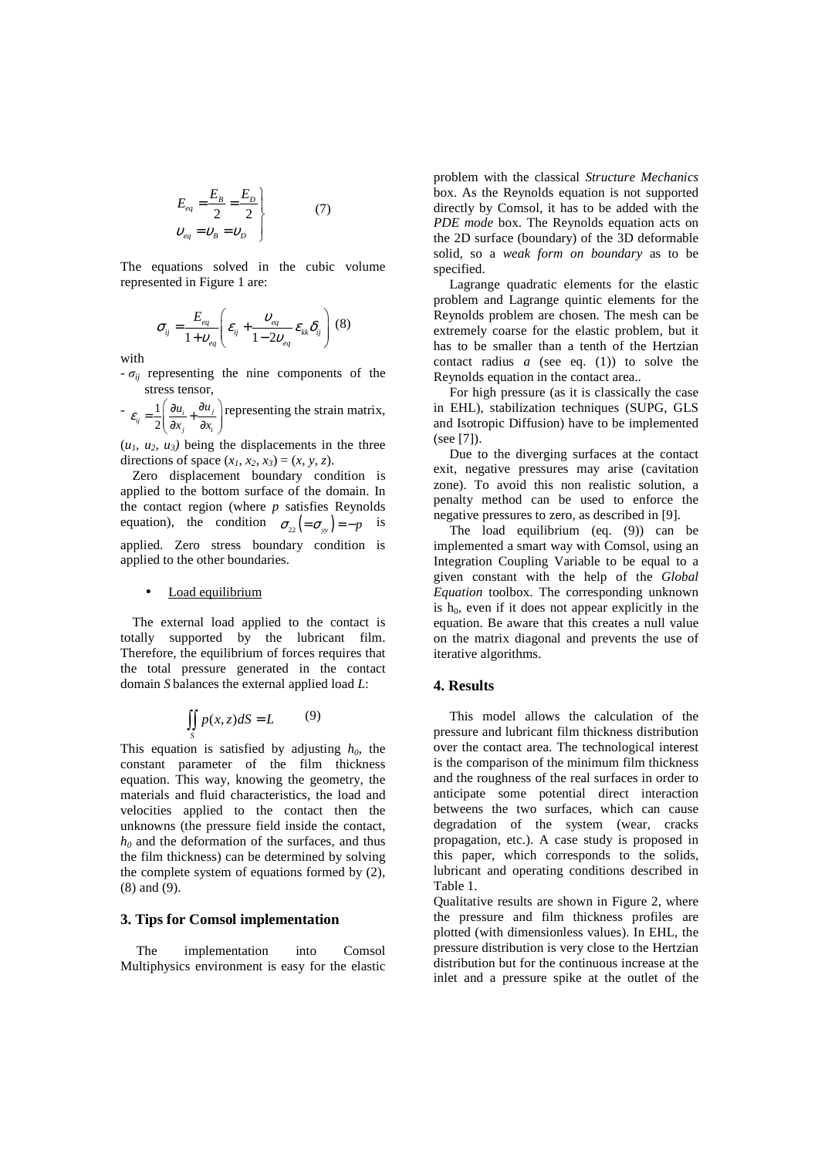$$
E_{eq} = \frac{E_B}{2} = \frac{E_D}{2}
$$
  
\n
$$
v_{eq} = v_B = v_D
$$
 (7)

The equations solved in the cubic volume represented in Figure 1 are:

$$
\sigma_{ij} = \frac{E_{eq}}{1 + v_{eq}} \left( \varepsilon_{ij} + \frac{v_{eq}}{1 - 2v_{eq}} \varepsilon_{kk} \delta_{ij} \right) (8)
$$

with

 $-\sigma_{ii}$  representing the nine components of the stress tensor,

 $\frac{1}{e}$ 2  $\dot{y}_j = \frac{1}{2} \left( \frac{\partial u_i}{\partial x_j} + \frac{\partial u_j}{\partial x_i} \right)$ *u u*  $\varepsilon_{ij} = \frac{1}{2} \left( \frac{\partial u_i}{\partial x_i} + \frac{\partial u_j}{\partial x_i} \right)$  $=\frac{1}{2}\left(\frac{\partial u_i}{\partial x_j} + \frac{\partial u_j}{\partial x_i}\right)$  representing the strain matrix,

 $(u_1, u_2, u_3)$  being the displacements in the three directions of space  $(x_1, x_2, x_3) = (x, y, z)$ .

Zero displacement boundary condition is applied to the bottom surface of the domain. In the contact region (where *p* satisfies Reynolds equation), the condition  $\sigma_{22} = \sigma_{yy} = -p$  is applied. Zero stress boundary condition is applied to the other boundaries.

#### Load equilibrium

The external load applied to the contact is totally supported by the lubricant film. Therefore, the equilibrium of forces requires that the total pressure generated in the contact domain *S* balances the external applied load *L*:

$$
\iint\limits_{S} p(x, z)dS = L \tag{9}
$$

This equation is satisfied by adjusting  $h_0$ , the constant parameter of the film thickness equation. This way, knowing the geometry, the materials and fluid characteristics, the load and velocities applied to the contact then the unknowns (the pressure field inside the contact,  $h_0$  and the deformation of the surfaces, and thus the film thickness) can be determined by solving the complete system of equations formed by (2), (8) and (9).

## **3. Tips for Comsol implementation**

The implementation into Comsol Multiphysics environment is easy for the elastic problem with the classical *Structure Mechanics* box. As the Reynolds equation is not supported directly by Comsol, it has to be added with the *PDE mode* box. The Reynolds equation acts on the 2D surface (boundary) of the 3D deformable solid, so a *weak form on boundary* as to be specified.

Lagrange quadratic elements for the elastic problem and Lagrange quintic elements for the Reynolds problem are chosen. The mesh can be extremely coarse for the elastic problem, but it has to be smaller than a tenth of the Hertzian contact radius *a* (see eq. (1)) to solve the Reynolds equation in the contact area..

For high pressure (as it is classically the case in EHL), stabilization techniques (SUPG, GLS and Isotropic Diffusion) have to be implemented (see [7]).

Due to the diverging surfaces at the contact exit, negative pressures may arise (cavitation zone). To avoid this non realistic solution, a penalty method can be used to enforce the negative pressures to zero, as described in [9].

The load equilibrium (eq. (9)) can be implemented a smart way with Comsol, using an Integration Coupling Variable to be equal to a given constant with the help of the *Global Equation* toolbox. The corresponding unknown is  $h_0$ , even if it does not appear explicitly in the equation. Be aware that this creates a null value on the matrix diagonal and prevents the use of iterative algorithms.

#### **4. Results**

This model allows the calculation of the pressure and lubricant film thickness distribution over the contact area. The technological interest is the comparison of the minimum film thickness and the roughness of the real surfaces in order to anticipate some potential direct interaction betweens the two surfaces, which can cause degradation of the system (wear, cracks propagation, etc.). A case study is proposed in this paper, which corresponds to the solids, lubricant and operating conditions described in Table 1.

Qualitative results are shown in Figure 2, where the pressure and film thickness profiles are plotted (with dimensionless values). In EHL, the pressure distribution is very close to the Hertzian distribution but for the continuous increase at the inlet and a pressure spike at the outlet of the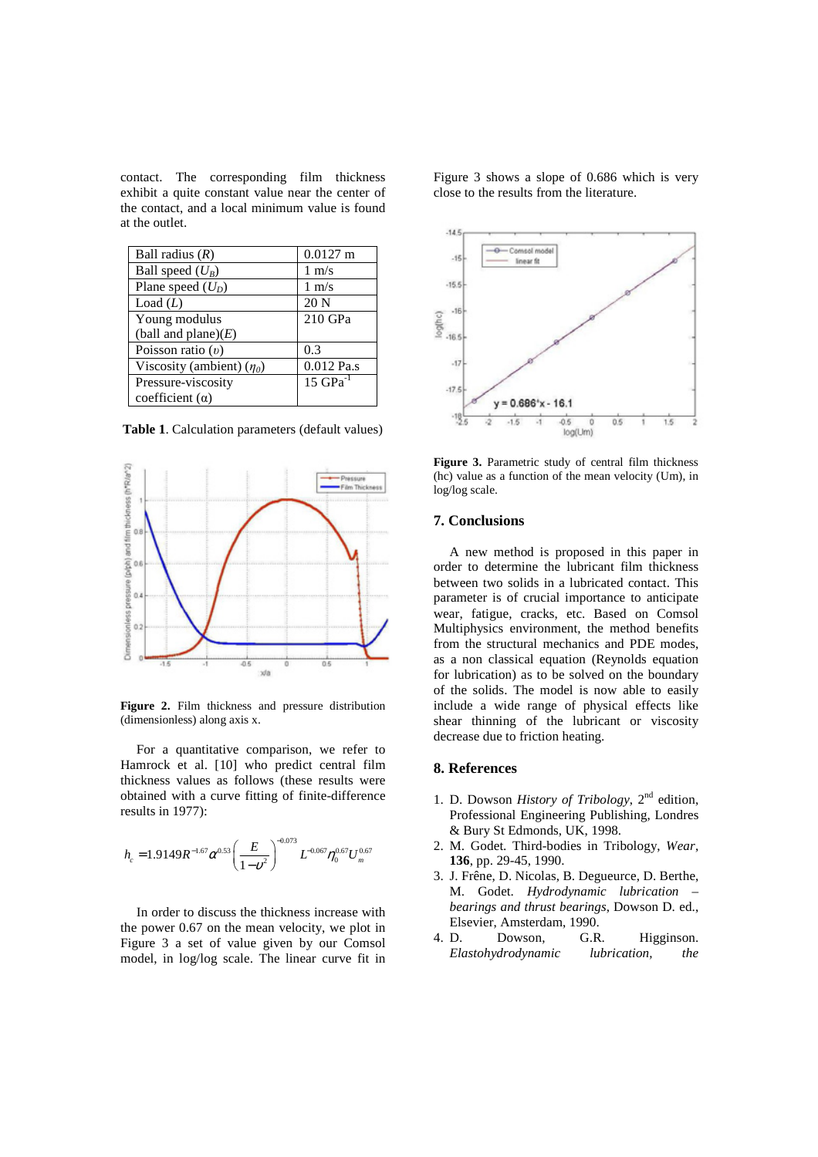contact. The corresponding film thickness exhibit a quite constant value near the center of the contact, and a local minimum value is found at the outlet.

| Ball radius $(R)$              | $0.0127$ m            |
|--------------------------------|-----------------------|
| Ball speed $(U_B)$             | $1 \text{ m/s}$       |
| Plane speed $(U_D)$            | $1 \text{ m/s}$       |
| Load $(L)$                     | 20 <sub>N</sub>       |
| Young modulus                  | 210 GPa               |
| (ball and plane) $(E)$         |                       |
| Poisson ratio $(v)$            | 0.3                   |
| Viscosity (ambient) $(\eta_0)$ | 0.012 Pa.s            |
| Pressure-viscosity             | $15 \text{ GPa}^{-1}$ |
| coefficient $(a)$              |                       |

**Table 1**. Calculation parameters (default values)



**Figure 2.** Film thickness and pressure distribution (dimensionless) along axis x.

For a quantitative comparison, we refer to Hamrock et al. [10] who predict central film thickness values as follows (these results were obtained with a curve fitting of finite-difference results in 1977):

$$
h_c = 1.9149R^{-1.67}\alpha^{0.53} \left(\frac{E}{1-v^2}\right)^{-0.073} L^{-0.067} \eta_0^{0.67} U_m^{0.67}
$$

In order to discuss the thickness increase with the power 0.67 on the mean velocity, we plot in Figure 3 a set of value given by our Comsol model, in log/log scale. The linear curve fit in Figure 3 shows a slope of 0.686 which is very close to the results from the literature.



**Figure 3.** Parametric study of central film thickness (hc) value as a function of the mean velocity (Um), in log/log scale.

## **7. Conclusions**

A new method is proposed in this paper in order to determine the lubricant film thickness between two solids in a lubricated contact. This parameter is of crucial importance to anticipate wear, fatigue, cracks, etc. Based on Comsol Multiphysics environment, the method benefits from the structural mechanics and PDE modes, as a non classical equation (Reynolds equation for lubrication) as to be solved on the boundary of the solids. The model is now able to easily include a wide range of physical effects like shear thinning of the lubricant or viscosity decrease due to friction heating.

### **8. References**

- 1. D. Dowson *History of Tribology*, 2nd edition, Professional Engineering Publishing, Londres & Bury St Edmonds, UK, 1998.
- 2. M. Godet. Third-bodies in Tribology, *Wear*, **136**, pp. 29-45, 1990.
- 3. J. Frêne, D. Nicolas, B. Degueurce, D. Berthe, M. Godet. *Hydrodynamic lubrication – bearings and thrust bearings*, Dowson D. ed., Elsevier, Amsterdam, 1990.
- 4. D. Dowson, G.R. Higginson. *Elastohydrodynamic lubrication, the*